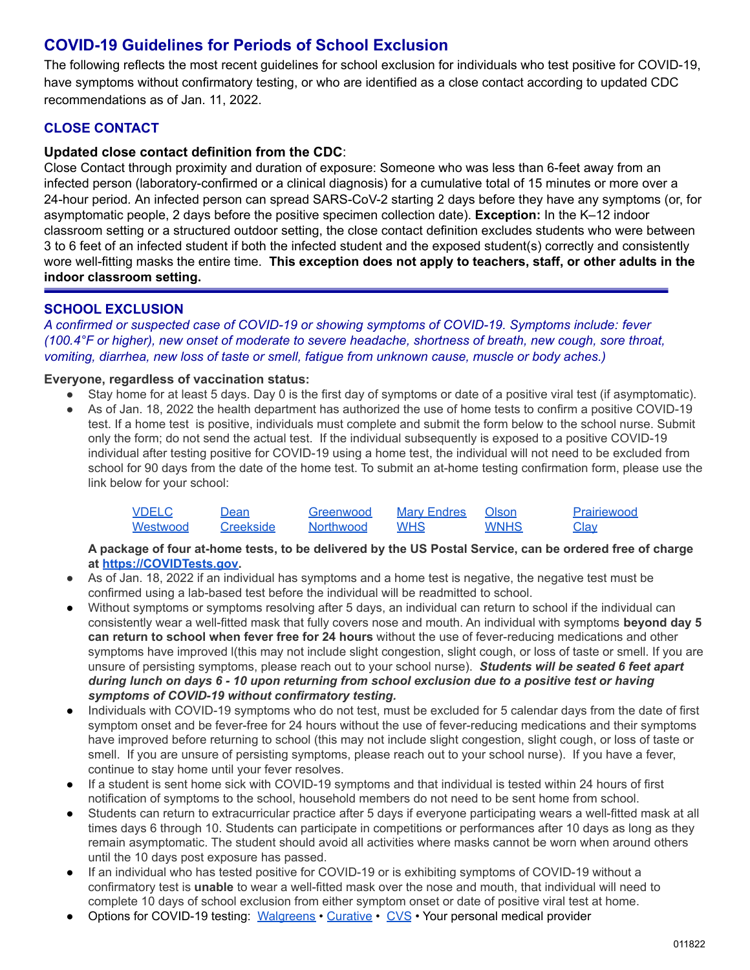# **COVID-19 Guidelines for Periods of School Exclusion**

The following reflects the most recent guidelines for school exclusion for individuals who test positive for COVID-19, have symptoms without confirmatory testing, or who are identified as a close contact according to updated CDC recommendations as of Jan. 11, 2022.

# **CLOSE CONTACT**

# **Updated close contact definition from the CDC**:

Close Contact through proximity and duration of exposure: Someone who was less than 6-feet away from an infected person (laboratory-confirmed or a clinical diagnosis) for a cumulative total of 15 minutes or more over a 24-hour period*.* An infected person can spread SARS-CoV-2 starting 2 days before they have any symptoms (or, for asymptomatic people, 2 days before the positive specimen collection date). **Exception:** In the K–12 indoor classroom setting or a structured outdoor setting, the close contact definition excludes students who were between 3 to 6 feet of an infected student if both the infected student and the exposed student(s) correctly and consistently wore well-fitting masks the entire time. **This exception does not apply to teachers, staff, or other adults in the indoor classroom setting.**

## **SCHOOL EXCLUSION**

*A confirmed or suspected case of COVID-19 or showing symptoms of COVID-19. Symptoms include: fever (100.4°F or higher), new onset of moderate to severe headache, shortness of breath, new cough, sore throat, vomiting, diarrhea, new loss of taste or smell, fatigue from unknown cause, muscle or body aches.)*

#### **Everyone, regardless of vaccination status:**

- Stay home for at least 5 days. Day 0 is the first day of symptoms or date of a positive viral test (if asymptomatic).
- As of Jan. 18, 2022 the health department has authorized the use of home tests to confirm a positive COVID-19 test. If a home test is positive, individuals must complete and submit the form below to the school nurse. Submit only the form; do not send the actual test. If the individual subsequently is exposed to a positive COVID-19 individual after testing positive for COVID-19 using a home test, the individual will not need to be excluded from school for 90 days from the date of the home test. To submit an at-home testing confirmation form, please use the link below for your school:

| VDELC    | Dean      | Greenwood        | <b>Mary Endres</b> | Olson | Prairiewood |
|----------|-----------|------------------|--------------------|-------|-------------|
| Westwood | Creekside | <b>Northwood</b> | <b>WHS</b>         | WNHS  | Clav        |

**A package of four at-home tests, to be delivered by the US Postal Service, can be ordered free of charge at [https://COVIDTests.gov.](https://covidtests.gov)**

- As of Jan. 18, 2022 if an individual has symptoms and a home test is negative, the negative test must be confirmed using a lab-based test before the individual will be readmitted to school.
- Without symptoms or symptoms resolving after 5 days, an individual can return to school if the individual can consistently wear a well-fitted mask that fully covers nose and mouth. An individual with symptoms **beyond day 5 can return to school when fever free for 24 hours** without the use of fever-reducing medications and other symptoms have improved l(this may not include slight congestion, slight cough, or loss of taste or smell. If you are unsure of persisting symptoms, please reach out to your school nurse). *Students will be seated 6 feet apart during lunch on days 6 - 10 upon returning from school exclusion due to a positive test or having symptoms of COVID-19 without confirmatory testing.*
- Individuals with COVID-19 symptoms who do not test, must be excluded for 5 calendar days from the date of first symptom onset and be fever-free for 24 hours without the use of fever-reducing medications and their symptoms have improved before returning to school (this may not include slight congestion, slight cough, or loss of taste or smell. If you are unsure of persisting symptoms, please reach out to your school nurse). If you have a fever, continue to stay home until your fever resolves.
- If a student is sent home sick with COVID-19 symptoms and that individual is tested within 24 hours of first notification of symptoms to the school, household members do not need to be sent home from school.
- Students can return to extracurricular practice after 5 days if everyone participating wears a well-fitted mask at all times days 6 through 10. Students can participate in competitions or performances after 10 days as long as they remain asymptomatic. The student should avoid all activities where masks cannot be worn when around others until the 10 days post exposure has passed.
- If an individual who has tested positive for COVID-19 or is exhibiting symptoms of COVID-19 without a confirmatory test is **unable** to wear a well-fitted mask over the nose and mouth, that individual will need to complete 10 days of school exclusion from either symptom onset or date of positive viral test at home.
- Options for COVID-19 testing: [Walgreens](https://www.walgreens.com/topic/promotion/covid-testing.jsp?ban=covidfy21_newtestingpg_brandstory_main_11.21.22) [Curative](https://curative.com/) [CVS](https://www.cvs.com/minuteclinic/covid-19-testing/covid-scheduler?symptoms=covid) Your personal medical provider